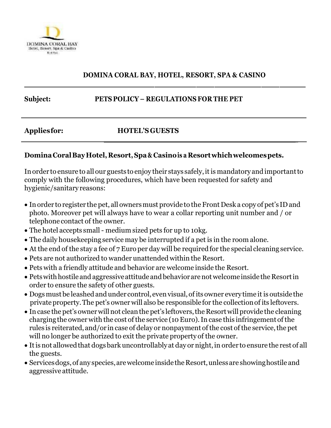

## **DOMINA CORAL BAY, HOTEL, RESORT, SPA & CASINO**

**\_\_\_\_\_\_\_\_\_\_\_\_\_\_\_\_\_\_\_\_\_\_\_\_\_\_\_\_\_**

**\_\_\_\_\_\_\_\_\_\_\_\_\_\_\_\_\_\_\_\_\_\_\_\_\_\_\_\_\_\_\_\_\_\_\_\_\_\_\_\_\_\_\_\_\_\_\_\_\_\_\_\_\_\_\_\_\_\_\_\_\_\_\_** 

### **Subject: PETS POLICY – REGULATIONS FOR THE PET**

### **Appliesfor: HOTEL'S GUESTS**

### **DominaCoralBayHotel,Resort,Spa& Casinois a Resortwhichwelcomespets.**

In order to ensure to all our guests to enjoy their stays safely, it is mandatory and important to comply with the following procedures, which have been requested for safety and hygienic/sanitary reasons:

- In order to register the pet, all owners must provide to the Front Desk a copy of pet's ID and photo. Moreover pet will always have to wear a collar reporting unit number and / or telephone contact of the owner.
- The hotel accepts small- medium sized pets for up to 10kg.
- The daily housekeeping service may be interrupted if a pet is in the room alone.
- At the end of the stay a fee of 7 Euro per day will be required for the special cleaning service.
- Pets are not authorized to wander unattended within the Resort.
- Pets with a friendly attitude and behavior are welcome inside the Resort.
- Pets with hostile and aggressive attitude and behavior are not welcome inside the Resort in order to ensure the safety of other guests.
- Dogs must be leashed and under control, even visual, of its owner every time it is outside the private property. The pet's owner will also be responsible for the collection of its leftovers.
- In case the pet's owner will not clean the pet's leftovers, the Resort will provide the cleaning chargingthe ownerwith the cost of the service (10Euro).In case this infringementof the rules is reiterated, and/or in case of delay or nonpayment of the cost of the service, the pet will no longer be authorized to exit the private property of the owner.
- It is not allowed that dogs bark uncontrollably at day or night, in order to ensure the rest of all the guests.
- Services dogs, of any species, are welcome inside the Resort, unless are showing hostile and aggressive attitude.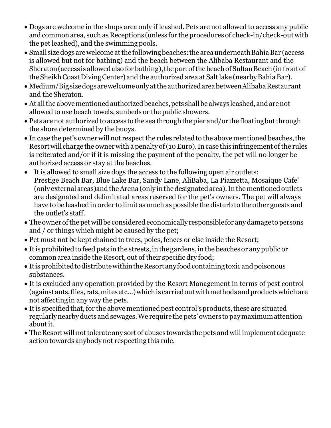- Dogs are welcome in the shops area only if leashed. Pets are not allowed to access any public and common area, such as Receptions (unless for the procedures of check-in/check-out with the pet leashed), and the swimming pools.
- Small size dogs are welcome at the following beaches: the area underneath Bahia Bar (access is allowed but not for bathing) and the beach between the Alibaba Restaurant and the Sheraton (access is allowed also for bathing), the part of the beach of Sultan Beach (in front of the Sheikh Coast Diving Center) and the authorized area at Salt lake (nearby Bahia Bar).
- Medium/Bigsizedogs are welcome only at the authorized area between Alibaba Restaurant and the Sheraton.
- At all the above mentioned authorized beaches, pets shall be always leashed, and are not allowed to use beach towels, sunbeds or the public showers.
- Pets are not authorized to access to the sea through the pier and/or the floating but through the shore determined by the buoys.
- In case the pet's owner will not respect the rules related to the above mentioned beaches, the Resortwill charge the ownerwith a penaltyof(10Euro).In case this infringementofthe rules is reiterated and/or if it is missing the payment of the penalty, the pet will no longer be authorized access or stay at the beaches.
- It is allowed to small size dogs the access to the following open air outlets: Prestige Beach Bar, Blue Lake Bar, Sandy Lane, AliBaba, La Piazzetta, Mosaique Cafe' (only external areas)and the Arena (only in the designated area). In the mentioned outlets are designated and delimitated areas reserved for the pet's owners. The pet will always have to be leashed in order to limit as much as possible the disturb to the other guests and the outlet's staff.
- The owner of the pet will be considered economically responsible for any damage to persons and / or things which might be caused by the pet;
- Pet must not be kept chained to trees, poles, fences or else inside the Resort;
- Itis prohibitedto feed pets in the streets,in the gardens,in the beachesor anypublic or commonarea inside the Resort, out of their specific dry food;
- It is prohibited to distribute within the Resort any food containing toxic and poisonous substances.
- It is excluded any operation provided by the Resort Management in terms of pest control (against ants, flies, rats, mites etc...) which is carried out with methods and products which are not affecting in any way the pets.
- It is specified that, for the above mentioned pest control's products, these are situated regularlynearbyductsand sewages.We requirethe pets'owners topaymaximumattention about it.
- The Resort will not tolerate any sort of abuses towards the pets and will implement adequate action towards anybodynot respecting this rule.